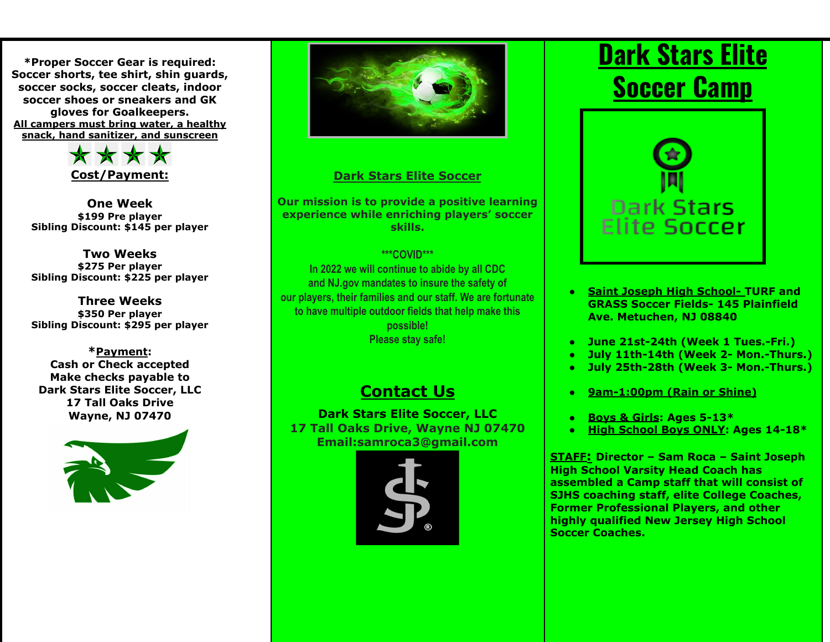**\*Proper Soccer Gear is required: Soccer shorts, tee shirt, shin guards, soccer socks, soccer cleats, indoor soccer shoes or sneakers and GK gloves for Goalkeepers. All campers must bring water, a healthy snack, hand sanitizer, and sunscreen**



**One Week \$199 Pre player Sibling Discount: \$145 per player**

**Two Weeks \$275 Per player Sibling Discount: \$225 per player**

**Three Weeks \$350 Per player Sibling Discount: \$295 per player**

**\*Payment: Cash or Check accepted Make checks payable to Dark Stars Elite Soccer, LLC 17 Tall Oaks Drive Wayne, NJ 07470**





## **Dark Stars Elite Soccer**

**Our mission is to provide a positive learning experience while enriching players' soccer skills.**

#### **\*\*\*COVID\*\*\***

**In 2022 we will continue to abide by all CDC and NJ.gov mandates to insure the safety of our players, their families and our staff. We are fortunate to have multiple outdoor fields that help make this possible! Please stay safe!**

# **Contact Us**

**Dark Stars Elite Soccer, LLC 17 Tall Oaks Drive, Wayne NJ 07470 Email:samroca3@gmail.com**



# **Dark Stars Elite Soccer Camp**



- **● Saint Joseph High School- TURF and GRASS Soccer Fields- 145 Plainfield Ave. Metuchen, NJ 08840**
- **● June 21st-24th (Week 1 Tues.-Fri.)**
- **● July 11th-14th (Week 2- Mon.-Thurs.)**
- **● July 25th-28th (Week 3- Mon.-Thurs.)**
- **● 9am-1:00pm (Rain or Shine)**
- **● Boys & Girls: Ages 5-13\***
- **● High School Boys ONLY: Ages 14-18\***

**STAFF: Director – Sam Roca – Saint Joseph High School Varsity Head Coach has assembled a Camp staff that will consist of SJHS coaching staff, elite College Coaches, Former Professional Players, and other highly qualified New Jersey High School Soccer Coaches.**